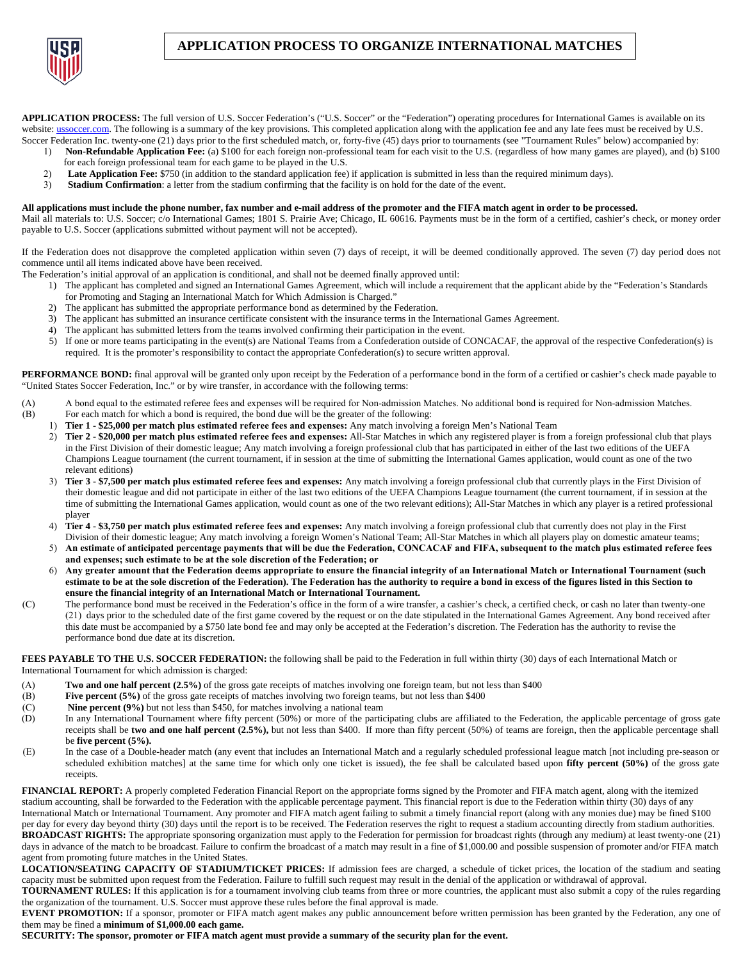

## **APPLICATION PROCESS TO ORGANIZE INTERNATIONAL MATCHES**

APPLICATION PROCESS: The full version of U.S. Soccer Federation's ("U.S. Soccer" or the "Federation") operating procedures for International Games is available on its website: ussoccer.com. The following is a summary of the key provisions. This completed application along with the application fee and any late fees must be received by U.S. Soccer Federation Inc. twenty-one (21) days prior to the first scheduled match, or, forty-five (45) days prior to tournaments (see "Tournament Rules" below) accompanied by:

- 1) **Non-Refundable Application Fee:** (a) \$100 for each foreign non-professional team for each visit to the U.S. (regardless of how many games are played), and (b) \$100 for each foreign professional team for each game to be played in the U.S.
- 2) Late Application Fee: \$750 (in addition to the standard application fee) if application is submitted in less than the required minimum days).<br> **Stadium Confirmation**: a letter from the stadium confirming that the facili
- **Stadium Confirmation**: a letter from the stadium confirming that the facility is on hold for the date of the event.

## **All applications must include the phone number, fax number and e-mail address of the promoter and the FIFA match agent in order to be processed.**

Mail all materials to: U.S. Soccer; c/o International Games; 1801 S. Prairie Ave; Chicago, IL 60616. Payments must be in the form of a certified, cashier's check, or money order payable to U.S. Soccer (applications submitted without payment will not be accepted).

If the Federation does not disapprove the completed application within seven (7) days of receipt, it will be deemed conditionally approved. The seven (7) day period does not commence until all items indicated above have been received.

- The Federation's initial approval of an application is conditional, and shall not be deemed finally approved until:
	- 1) The applicant has completed and signed an International Games Agreement, which will include a requirement that the applicant abide by the "Federation's Standards for Promoting and Staging an International Match for Which Admission is Charged."
	- 2) The applicant has submitted the appropriate performance bond as determined by the Federation.
	- 3) The applicant has submitted an insurance certificate consistent with the insurance terms in the International Games Agreement.
	- 4) The applicant has submitted letters from the teams involved confirming their participation in the event.
	- 5) If one or more teams participating in the event(s) are National Teams from a Confederation outside of CONCACAF, the approval of the respective Confederation(s) is required. It is the promoter's responsibility to contact the appropriate Confederation(s) to secure written approval.

**PERFORMANCE BOND:** final approval will be granted only upon receipt by the Federation of a performance bond in the form of a certified or cashier's check made payable to "United States Soccer Federation, Inc." or by wire transfer, in accordance with the following terms:

- (A) A bond equal to the estimated referee fees and expenses will be required for Non-admission Matches. No additional bond is required for Non-admission Matches.
- (B) For each match for which a bond is required, the bond due will be the greater of the following:
	- 1) **Tier 1 \$25,000 per match plus estimated referee fees and expenses:** Any match involving a foreign Men's National Team
	- 2) **Tier 2 \$20,000 per match plus estimated referee fees and expenses:** All-Star Matches in which any registered player is from a foreign professional club that plays in the First Division of their domestic league; Any match involving a foreign professional club that has participated in either of the last two editions of the UEFA Champions League tournament (the current tournament, if in session at the time of submitting the International Games application, would count as one of the two relevant editions)
	- 3) **Tier 3 \$7,500 per match plus estimated referee fees and expenses:** Any match involving a foreign professional club that currently plays in the First Division of their domestic league and did not participate in either of the last two editions of the UEFA Champions League tournament (the current tournament, if in session at the time of submitting the International Games application, would count as one of the two relevant editions); All-Star Matches in which any player is a retired professional player
	- 4) **Tier 4 \$3,750 per match plus estimated referee fees and expenses:** Any match involving a foreign professional club that currently does not play in the First Division of their domestic league; Any match involving a foreign Women's National Team; All-Star Matches in which all players play on domestic amateur teams;
	- 5) **An estimate of anticipated percentage payments that will be due the Federation, CONCACAF and FIFA, subsequent to the match plus estimated referee fees and expenses; such estimate to be at the sole discretion of the Federation; or**
	- 6) **Any greater amount that the Federation deems appropriate to ensure the financial integrity of an International Match or International Tournament (such estimate to be at the sole discretion of the Federation). The Federation has the authority to require a bond in excess of the figures listed in this Section to ensure the financial integrity of an International Match or International Tournament.**
- (C) The performance bond must be received in the Federation's office in the form of a wire transfer, a cashier's check, a certified check, or cash no later than twenty-one (21) days prior to the scheduled date of the first game covered by the request or on the date stipulated in the International Games Agreement. Any bond received after this date must be accompanied by a \$750 late bond fee and may only be accepted at the Federation's discretion. The Federation has the authority to revise the performance bond due date at its discretion.

**FEES PAYABLE TO THE U.S. SOCCER FEDERATION:** the following shall be paid to the Federation in full within thirty (30) days of each International Match or International Tournament for which admission is charged:

- (A) **Two and one half percent (2.5%)** of the gross gate receipts of matches involving one foreign team, but not less than \$400
- (B) **Five percent (5%)** of the gross gate receipts of matches involving two foreign teams, but not less than \$400
- (C) **Nine percent (9%)** but not less than \$450, for matches involving a national team (D) In any International Tournament where fifty percent (50%) or more of the partic
- In any International Tournament where fifty percent (50%) or more of the participating clubs are affiliated to the Federation, the applicable percentage of gross gate receipts shall be two and one half percent (2.5%), but not less than \$400. If more than fifty percent (50%) of teams are foreign, then the applicable percentage shall be **five percent (5%).**
- (E) In the case of a Double-header match (any event that includes an International Match and a regularly scheduled professional league match [not including pre-season or scheduled exhibition matches] at the same time for which only one ticket is issued), the fee shall be calculated based upon **fifty percent (50%)** of the gross gate receipts.

**FINANCIAL REPORT:** A properly completed Federation Financial Report on the appropriate forms signed by the Promoter and FIFA match agent, along with the itemized stadium accounting, shall be forwarded to the Federation with the applicable percentage payment. This financial report is due to the Federation within thirty (30) days of any International Match or International Tournament. Any promoter and FIFA match agent failing to submit a timely financial report (along with any monies due) may be fined \$100 per day for every day beyond thirty (30) days until the report is to be received. The Federation reserves the right to request a stadium accounting directly from stadium authorities. **BROADCAST RIGHTS:** The appropriate sponsoring organization must apply to the Federation for permission for broadcast rights (through any medium) at least twenty-one (21) days in advance of the match to be broadcast. Failure to confirm the broadcast of a match may result in a fine of \$1,000.00 and possible suspension of promoter and/or FIFA match agent from promoting future matches in the United States.

**LOCATION/SEATING CAPACITY OF STADIUM/TICKET PRICES:** If admission fees are charged, a schedule of ticket prices, the location of the stadium and seating capacity must be submitted upon request from the Federation. Failure to fulfill such request may result in the denial of the application or withdrawal of approval.

**TOURNAMENT RULES:** If this application is for a tournament involving club teams from three or more countries, the applicant must also submit a copy of the rules regarding the organization of the tournament. U.S. Soccer must approve these rules before the final approval is made.

**EVENT PROMOTION:** If a sponsor, promoter or FIFA match agent makes any public announcement before written permission has been granted by the Federation, any one of them may be fined a **minimum of \$1,000.00 each game.**

**SECURITY: The sponsor, promoter or FIFA match agent must provide a summary of the security plan for the event.**